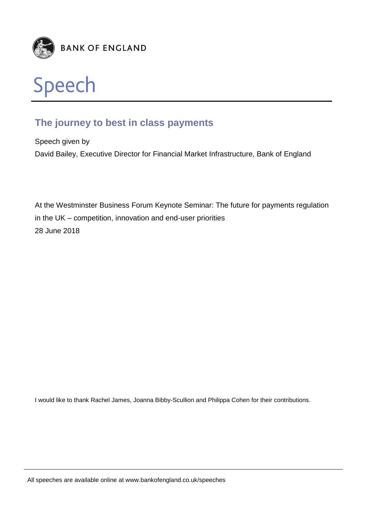

# **The journey to best in class payments**

Speech given by David Bailey, Executive Director for Financial Market Infrastructure, Bank of England

At the Westminster Business Forum Keynote Seminar: The future for payments regulation in the UK – competition, innovation and end-user priorities 28 June 2018

I would like to thank Rachel James, Joanna Bibby-Scullion and Philippa Cohen for their contributions.

All speeches are available online at www.bankofengland.co.uk/speeches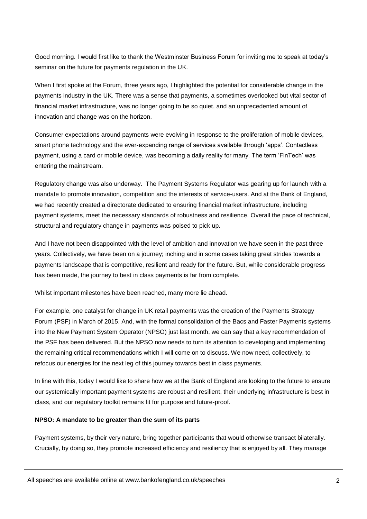Good morning. I would first like to thank the Westminster Business Forum for inviting me to speak at today's seminar on the future for payments regulation in the UK.

When I first spoke at the Forum, three years ago, I highlighted the potential for considerable change in the payments industry in the UK. There was a sense that payments, a sometimes overlooked but vital sector of financial market infrastructure, was no longer going to be so quiet, and an unprecedented amount of innovation and change was on the horizon.

Consumer expectations around payments were evolving in response to the proliferation of mobile devices, smart phone technology and the ever-expanding range of services available through 'apps'. Contactless payment, using a card or mobile device, was becoming a daily reality for many. The term 'FinTech' was entering the mainstream.

Regulatory change was also underway. The Payment Systems Regulator was gearing up for launch with a mandate to promote innovation, competition and the interests of service-users. And at the Bank of England, we had recently created a directorate dedicated to ensuring financial market infrastructure, including payment systems, meet the necessary standards of robustness and resilience. Overall the pace of technical, structural and regulatory change in payments was poised to pick up.

And I have not been disappointed with the level of ambition and innovation we have seen in the past three years. Collectively, we have been on a journey; inching and in some cases taking great strides towards a payments landscape that is competitive, resilient and ready for the future. But, while considerable progress has been made, the journey to best in class payments is far from complete.

Whilst important milestones have been reached, many more lie ahead.

For example, one catalyst for change in UK retail payments was the creation of the Payments Strategy Forum (PSF) in March of 2015. And, with the formal consolidation of the Bacs and Faster Payments systems into the New Payment System Operator (NPSO) just last month, we can say that a key recommendation of the PSF has been delivered. But the NPSO now needs to turn its attention to developing and implementing the remaining critical recommendations which I will come on to discuss. We now need, collectively, to refocus our energies for the next leg of this journey towards best in class payments.

In line with this, today I would like to share how we at the Bank of England are looking to the future to ensure our systemically important payment systems are robust and resilient, their underlying infrastructure is best in class, and our regulatory toolkit remains fit for purpose and future-proof.

## **NPSO: A mandate to be greater than the sum of its parts**

Payment systems, by their very nature, bring together participants that would otherwise transact bilaterally. Crucially, by doing so, they promote increased efficiency and resiliency that is enjoyed by all. They manage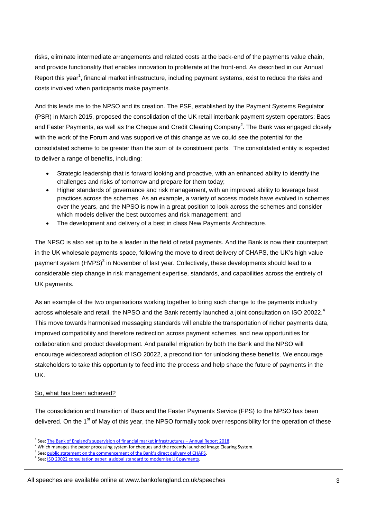risks, eliminate intermediate arrangements and related costs at the back-end of the payments value chain, and provide functionality that enables innovation to proliferate at the front-end. As described in our Annual Report this year<sup>1</sup>, financial market infrastructure, including payment systems, exist to reduce the risks and costs involved when participants make payments.

And this leads me to the NPSO and its creation. The PSF, established by the Payment Systems Regulator (PSR) in March 2015, proposed the consolidation of the UK retail interbank payment system operators: Bacs and Faster Payments, as well as the Cheque and Credit Clearing Company<sup>2</sup>. The Bank was engaged closely with the work of the Forum and was supportive of this change as we could see the potential for the consolidated scheme to be greater than the sum of its constituent parts. The consolidated entity is expected to deliver a range of benefits, including:

- Strategic leadership that is forward looking and proactive, with an enhanced ability to identify the challenges and risks of tomorrow and prepare for them today;
- Higher standards of governance and risk management, with an improved ability to leverage best practices across the schemes. As an example, a variety of access models have evolved in schemes over the years, and the NPSO is now in a great position to look across the schemes and consider which models deliver the best outcomes and risk management; and
- The development and delivery of a best in class New Payments Architecture.

The NPSO is also set up to be a leader in the field of retail payments. And the Bank is now their counterpart in the UK wholesale payments space, following the move to direct delivery of CHAPS, the UK's high value payment system (HVPS)<sup>3</sup> in November of last year. Collectively, these developments should lead to a considerable step change in risk management expertise, standards, and capabilities across the entirety of UK payments.

As an example of the two organisations working together to bring such change to the payments industry across wholesale and retail, the NPSO and the Bank recently launched a joint consultation on ISO 20022.<sup>4</sup> This move towards harmonised messaging standards will enable the transportation of richer payments data, improved compatibility and therefore redirection across payment schemes, and new opportunities for collaboration and product development. And parallel migration by both the Bank and the NPSO will encourage widespread adoption of ISO 20022, a precondition for unlocking these benefits. We encourage stakeholders to take this opportunity to feed into the process and help shape the future of payments in the UK.

#### So, what has been achieved?

-

The consolidation and transition of Bacs and the Faster Payments Service (FPS) to the NPSO has been delivered. On the 1<sup>st</sup> of May of this year, the NPSO formally took over responsibility for the operation of these

<sup>&</sup>lt;sup>1</sup> See: [The Bank of England's supervision of financial mar](https://www.bankofengland.co.uk/-/media/boe/files/annual-report/2018/supervision-of-financial-market-infrastructures-annual-report-2018.pdf?la=en&hash=58A07611A193B1C549E4A443DF3D0E7D19B23A95)ket infrastructures - Annual Report 2018.

<sup>&</sup>lt;sup>2</sup> Which manages the paper processing system for cheques and the recently launched Image Clearing System.

<sup>&</sup>lt;sup>3</sup> See: public statement on th[e commencement of the Bank's direct delivery of CHAPS](https://www.google.com/url?sa=t&rct=j&q=&esrc=s&source=web&cd=2&cad=rja&uact=8&ved=0ahUKEwizutv-gszbAhWlK8AKHWU0AV8QFggvMAE&url=https%3A%2F%2Fwww.bankofengland.co.uk%2F-%2Fmedia%2Fboe%2Ffiles%2Fnews%2F2017%2Fnovember%2Fbank-of-england-commences-the-direct-delivery-of-the-chaps-service&usg=AOvVaw3lCW9XzqfB29a7vn1AMzYI).

<sup>&</sup>lt;sup>4</sup> See: <u>ISO 20022 consultation paper: a global standard to modernise UK payments</u>.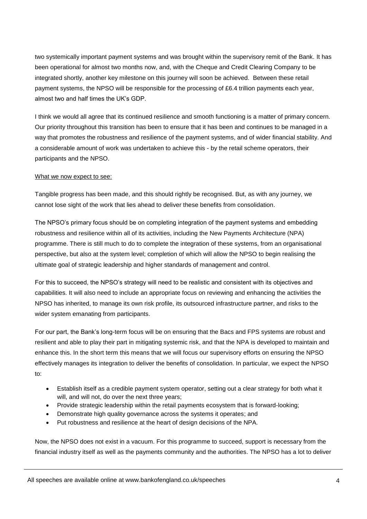two systemically important payment systems and was brought within the supervisory remit of the Bank. It has been operational for almost two months now, and, with the Cheque and Credit Clearing Company to be integrated shortly, another key milestone on this journey will soon be achieved. Between these retail payment systems, the NPSO will be responsible for the processing of £6.4 trillion payments each year, almost two and half times the UK's GDP.

I think we would all agree that its continued resilience and smooth functioning is a matter of primary concern. Our priority throughout this transition has been to ensure that it has been and continues to be managed in a way that promotes the robustness and resilience of the payment systems, and of wider financial stability. And a considerable amount of work was undertaken to achieve this - by the retail scheme operators, their participants and the NPSO.

#### What we now expect to see:

Tangible progress has been made, and this should rightly be recognised. But, as with any journey, we cannot lose sight of the work that lies ahead to deliver these benefits from consolidation.

The NPSO's primary focus should be on completing integration of the payment systems and embedding robustness and resilience within all of its activities, including the New Payments Architecture (NPA) programme. There is still much to do to complete the integration of these systems, from an organisational perspective, but also at the system level; completion of which will allow the NPSO to begin realising the ultimate goal of strategic leadership and higher standards of management and control.

For this to succeed, the NPSO's strategy will need to be realistic and consistent with its objectives and capabilities. It will also need to include an appropriate focus on reviewing and enhancing the activities the NPSO has inherited, to manage its own risk profile, its outsourced infrastructure partner, and risks to the wider system emanating from participants.

For our part, the Bank's long-term focus will be on ensuring that the Bacs and FPS systems are robust and resilient and able to play their part in mitigating systemic risk, and that the NPA is developed to maintain and enhance this. In the short term this means that we will focus our supervisory efforts on ensuring the NPSO effectively manages its integration to deliver the benefits of consolidation. In particular, we expect the NPSO to:

- Establish itself as a credible payment system operator, setting out a clear strategy for both what it will, and will not, do over the next three years;
- Provide strategic leadership within the retail payments ecosystem that is forward-looking;
- Demonstrate high quality governance across the systems it operates; and
- Put robustness and resilience at the heart of design decisions of the NPA.

Now, the NPSO does not exist in a vacuum. For this programme to succeed, support is necessary from the financial industry itself as well as the payments community and the authorities. The NPSO has a lot to deliver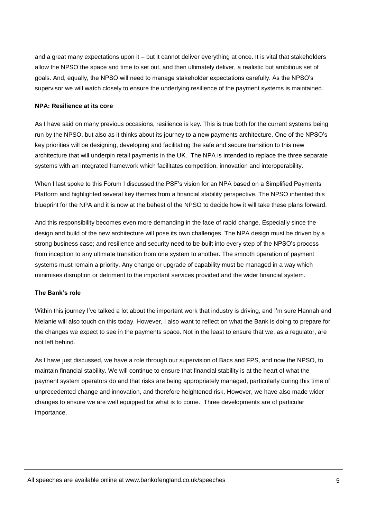and a great many expectations upon it – but it cannot deliver everything at once. It is vital that stakeholders allow the NPSO the space and time to set out, and then ultimately deliver, a realistic but ambitious set of goals. And, equally, the NPSO will need to manage stakeholder expectations carefully. As the NPSO's supervisor we will watch closely to ensure the underlying resilience of the payment systems is maintained.

#### **NPA: Resilience at its core**

As I have said on many previous occasions, resilience is key. This is true both for the current systems being run by the NPSO, but also as it thinks about its journey to a new payments architecture. One of the NPSO's key priorities will be designing, developing and facilitating the safe and secure transition to this new architecture that will underpin retail payments in the UK. The NPA is intended to replace the three separate systems with an integrated framework which facilitates competition, innovation and interoperability.

When I last spoke to this Forum I discussed the PSF's vision for an NPA based on a Simplified Payments Platform and highlighted several key themes from a financial stability perspective. The NPSO inherited this blueprint for the NPA and it is now at the behest of the NPSO to decide how it will take these plans forward.

And this responsibility becomes even more demanding in the face of rapid change. Especially since the design and build of the new architecture will pose its own challenges. The NPA design must be driven by a strong business case; and resilience and security need to be built into every step of the NPSO's process from inception to any ultimate transition from one system to another. The smooth operation of payment systems must remain a priority. Any change or upgrade of capability must be managed in a way which minimises disruption or detriment to the important services provided and the wider financial system.

#### **The Bank's role**

Within this journey I've talked a lot about the important work that industry is driving, and I'm sure Hannah and Melanie will also touch on this today. However, I also want to reflect on what the Bank is doing to prepare for the changes we expect to see in the payments space. Not in the least to ensure that we, as a regulator, are not left behind.

As I have just discussed, we have a role through our supervision of Bacs and FPS, and now the NPSO, to maintain financial stability. We will continue to ensure that financial stability is at the heart of what the payment system operators do and that risks are being appropriately managed, particularly during this time of unprecedented change and innovation, and therefore heightened risk. However, we have also made wider changes to ensure we are well equipped for what is to come. Three developments are of particular importance.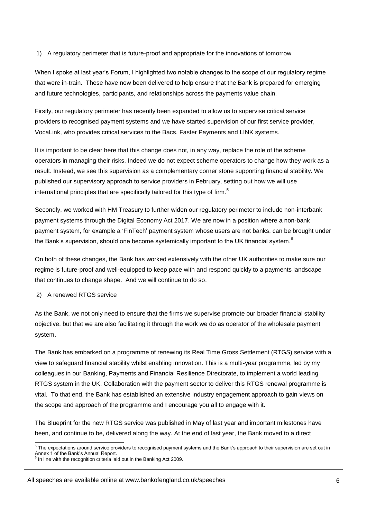#### 1) A regulatory perimeter that is future-proof and appropriate for the innovations of tomorrow

When I spoke at last year's Forum, I highlighted two notable changes to the scope of our regulatory regime that were in-train. These have now been delivered to help ensure that the Bank is prepared for emerging and future technologies, participants, and relationships across the payments value chain.

Firstly, our regulatory perimeter has recently been expanded to allow us to supervise critical service providers to recognised payment systems and we have started supervision of our first service provider, VocaLink, who provides critical services to the Bacs, Faster Payments and LINK systems.

It is important to be clear here that this change does not, in any way, replace the role of the scheme operators in managing their risks. Indeed we do not expect scheme operators to change how they work as a result. Instead, we see this supervision as a complementary corner stone supporting financial stability. We published our supervisory approach to service providers in February, setting out how we will use international principles that are specifically tailored for this type of firm.<sup>5</sup>

Secondly, we worked with HM Treasury to further widen our regulatory perimeter to include non-interbank payment systems through the Digital Economy Act 2017. We are now in a position where a non-bank payment system, for example a 'FinTech' payment system whose users are not banks, can be brought under the Bank's supervision, should one become systemically important to the UK financial system.<sup>6</sup>

On both of these changes, the Bank has worked extensively with the other UK authorities to make sure our regime is future-proof and well-equipped to keep pace with and respond quickly to a payments landscape that continues to change shape. And we will continue to do so.

### 2) A renewed RTGS service

As the Bank, we not only need to ensure that the firms we supervise promote our broader financial stability objective, but that we are also facilitating it through the work we do as operator of the wholesale payment system.

The Bank has embarked on a programme of renewing its Real Time Gross Settlement (RTGS) service with a view to safeguard financial stability whilst enabling innovation. This is a multi-year programme, led by my colleagues in our Banking, Payments and Financial Resilience Directorate, to implement a world leading RTGS system in the UK. Collaboration with the payment sector to deliver this RTGS renewal programme is vital. To that end, the Bank has established an extensive industry engagement approach to gain views on the scope and approach of the programme and I encourage you all to engage with it.

The Blueprint for the new RTGS service was published in May of last year and important milestones have been, and continue to be, delivered along the way. At the end of last year, the Bank moved to a direct

#### All speeches are available online at www.bankofengland.co.uk/speeches

 5 The expectations around service providers to recognised payment systems and the Bank's approach to their supervision are set out in Annex 1 of the Bank's Annual Report.<br><sup>6</sup> In line with the recognition criteria laid out in the Banking Act 2009.